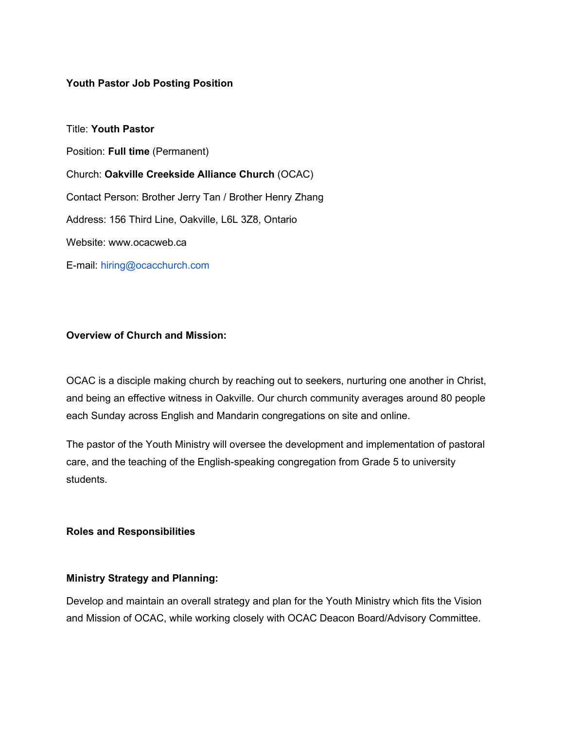#### **Youth Pastor Job Posting Position**

Title: **Youth Pastor** Position: **Full time** (Permanent) Church: **Oakville Creekside Alliance Church** (OCAC) Contact Person: Brother Jerry Tan / Brother Henry Zhang Address: 156 Third Line, Oakville, L6L 3Z8, Ontario Website: www.ocacweb.ca E-mail: hiring@ocacchurch.com

### **Overview of Church and Mission:**

OCAC is a disciple making church by reaching out to seekers, nurturing one another in Christ, and being an effective witness in Oakville. Our church community averages around 80 people each Sunday across English and Mandarin congregations on site and online.

The pastor of the Youth Ministry will oversee the development and implementation of pastoral care, and the teaching of the English-speaking congregation from Grade 5 to university students.

#### **Roles and Responsibilities**

#### **Ministry Strategy and Planning:**

Develop and maintain an overall strategy and plan for the Youth Ministry which fits the Vision and Mission of OCAC, while working closely with OCAC Deacon Board/Advisory Committee.